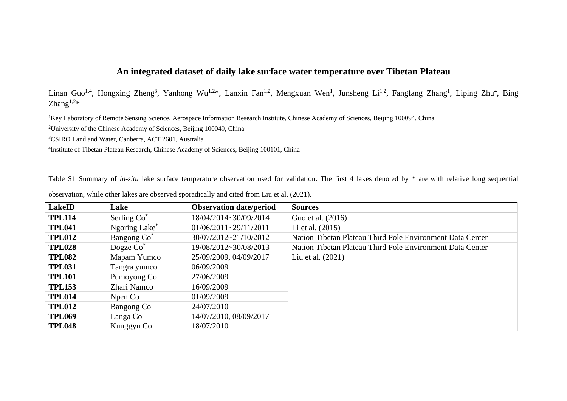## **An integrated dataset of daily lake surface water temperature over Tibetan Plateau**

Linan Guo<sup>1,4</sup>, Hongxing Zheng<sup>3</sup>, Yanhong Wu<sup>1,2\*</sup>, Lanxin Fan<sup>1,2</sup>, Mengxuan Wen<sup>1</sup>, Junsheng Li<sup>1,2</sup>, Fangfang Zhang<sup>1</sup>, Liping Zhu<sup>4</sup>, Bing Zhang $1,2*$ 

<sup>1</sup>Key Laboratory of Remote Sensing Science, Aerospace Information Research Institute, Chinese Academy of Sciences, Beijing 100094, China

<sup>2</sup>University of the Chinese Academy of Sciences, Beijing 100049, China

<sup>3</sup>CSIRO Land and Water, Canberra, ACT 2601, Australia

4 Institute of Tibetan Plateau Research, Chinese Academy of Sciences, Beijing 100101, China

Table S1 Summary of *in-situ* lake surface temperature observation used for validation. The first 4 lakes denoted by \* are with relative long sequential

| <b>LakeID</b> | Lake                      | <b>Observation date/period</b> | <b>Sources</b>                                            |
|---------------|---------------------------|--------------------------------|-----------------------------------------------------------|
| <b>TPL114</b> | Serling Co <sup>*</sup>   | 18/04/2014~30/09/2014          | Guo et al. (2016)                                         |
| <b>TPL041</b> | Ngoring Lake <sup>*</sup> | $01/06/2011 - 29/11/2011$      | Li et al. $(2015)$                                        |
| <b>TPL012</b> | Bangong Co <sup>*</sup>   | 30/07/2012~21/10/2012          | Nation Tibetan Plateau Third Pole Environment Data Center |
| <b>TPL028</b> | Dogze $Co^*$              | 19/08/2012~30/08/2013          | Nation Tibetan Plateau Third Pole Environment Data Center |
| <b>TPL082</b> | Mapam Yumco               | 25/09/2009, 04/09/2017         | Liu et al. $(2021)$                                       |
| <b>TPL031</b> | Tangra yumco              | 06/09/2009                     |                                                           |
| <b>TPL101</b> | Pumoyong Co               | 27/06/2009                     |                                                           |
| <b>TPL153</b> | Zhari Namco               | 16/09/2009                     |                                                           |
| <b>TPL014</b> | Npen Co                   | 01/09/2009                     |                                                           |
| <b>TPL012</b> | Bangong Co                | 24/07/2010                     |                                                           |
| <b>TPL069</b> | Langa Co                  | 14/07/2010, 08/09/2017         |                                                           |
| <b>TPL048</b> | Kunggyu Co                | 18/07/2010                     |                                                           |

observation, while other lakes are observed sporadically and cited from Liu et al. (2021).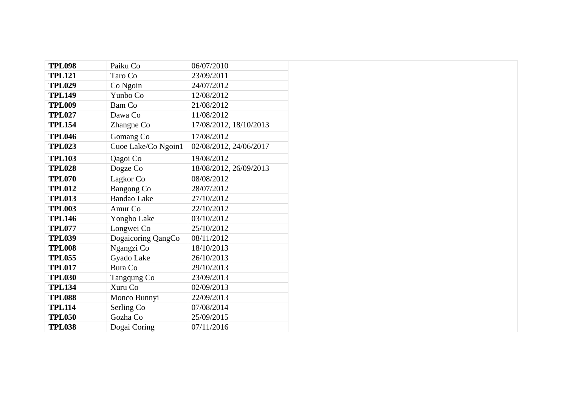| <b>TPL098</b> | Paiku Co            | 06/07/2010             |  |
|---------------|---------------------|------------------------|--|
| <b>TPL121</b> | Taro Co             | 23/09/2011             |  |
| <b>TPL029</b> | Co Ngoin            | 24/07/2012             |  |
| <b>TPL149</b> | Yunbo Co            | 12/08/2012             |  |
| <b>TPL009</b> | <b>Bam Co</b>       | 21/08/2012             |  |
| <b>TPL027</b> | Dawa Co             | 11/08/2012             |  |
| <b>TPL154</b> | Zhangne Co          | 17/08/2012, 18/10/2013 |  |
| <b>TPL046</b> | Gomang Co           | 17/08/2012             |  |
| <b>TPL023</b> | Cuoe Lake/Co Ngoin1 | 02/08/2012, 24/06/2017 |  |
| <b>TPL103</b> | Qagoi Co            | 19/08/2012             |  |
| <b>TPL028</b> | Dogze Co            | 18/08/2012, 26/09/2013 |  |
| <b>TPL070</b> | Lagkor Co           | 08/08/2012             |  |
| <b>TPL012</b> | <b>Bangong Co</b>   | 28/07/2012             |  |
| <b>TPL013</b> | <b>Bandao</b> Lake  | 27/10/2012             |  |
| <b>TPL003</b> | Amur Co             | 22/10/2012             |  |
| <b>TPL146</b> | Yongbo Lake         | 03/10/2012             |  |
| <b>TPL077</b> | Longwei Co          | 25/10/2012             |  |
| <b>TPL039</b> | Dogaicoring QangCo  | 08/11/2012             |  |
| <b>TPL008</b> | Ngangzi Co          | 18/10/2013             |  |
| <b>TPL055</b> | Gyado Lake          | 26/10/2013             |  |
| <b>TPL017</b> | <b>Bura Co</b>      | 29/10/2013             |  |
| <b>TPL030</b> | Tangqung Co         | 23/09/2013             |  |
| <b>TPL134</b> | Xuru Co             | 02/09/2013             |  |
| <b>TPL088</b> | Monco Bunnyi        | 22/09/2013             |  |
| <b>TPL114</b> | Serling Co          | 07/08/2014             |  |
| <b>TPL050</b> | Gozha Co            | 25/09/2015             |  |
| <b>TPL038</b> | Dogai Coring        | 07/11/2016             |  |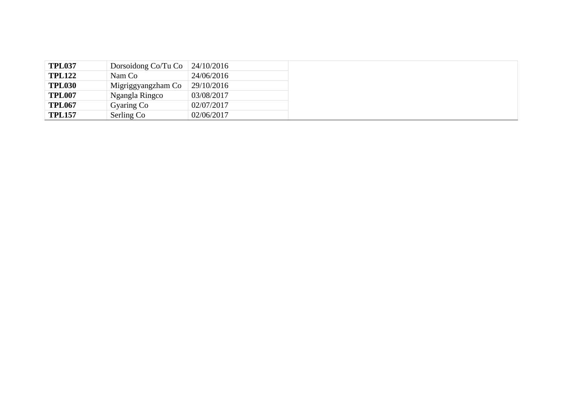| <b>TPL037</b> | Dorsoidong Co/Tu Co | $24/10/2016$ |
|---------------|---------------------|--------------|
| <b>TPL122</b> | Nam Co              | 24/06/2016   |
| <b>TPL030</b> | Migriggyangzham Co  | 29/10/2016   |
| <b>TPL007</b> | Ngangla Ringco      | 03/08/2017   |
| <b>TPL067</b> | Gyaring Co          | 02/07/2017   |
| <b>TPL157</b> | Serling Co          | 02/06/2017   |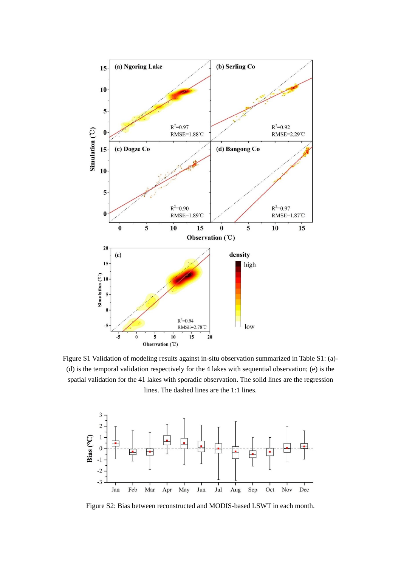

Figure S1 Validation of modeling results against in-situ observation summarized in Table S1: (a)- (d) is the temporal validation respectively for the 4 lakes with sequential observation; (e) is the spatial validation for the 41 lakes with sporadic observation. The solid lines are the regression lines. The dashed lines are the 1:1 lines.



Figure S2: Bias between reconstructed and MODIS-based LSWT in each month.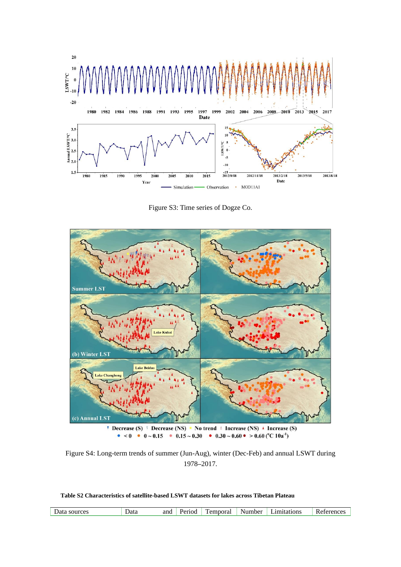

Figure S3: Time series of Dogze Co.



Figure S4: Long-term trends of summer (Jun-Aug), winter (Dec-Feb) and annual LSWT during 1978**–**2017.

**Table S2 Characteristics of satellite-based LSWT datasets for lakes across Tibetan Plateau**

| ano     | amitations       |
|---------|------------------|
| Period  | emporal          |
| Data    | Number           |
| sources | roroncos         |
| Jata    | $R$ - Reference. |
|         | -41              |